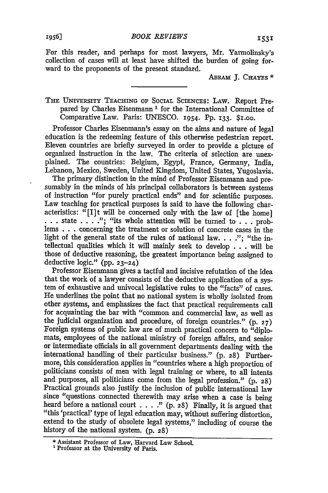For this reader, and perhaps for most lawyers, Mr. Yarmolinsky's collection of cases will at least have shifted the burden of going forward to the proponents of the present standard.

ABRAM **J.** CHAYES \*

**THE** UNIVERSITY **TEACHING Op** SociAL SCIENCES: LAW. Report Prepared by Charles Eisenmann **1** for the International Committee of Comparative Law. Paris: UNESCO. 1954. Pp. 133. \$1.OO.

Professor Charles Eisenmann's essay on the aims and nature of legal education is the redeeming feature of this otherwise pedestrian report. Eleven countries are briefly surveyed in order to provide a picture of organized instruction in the law. The criteria of selection are unexplained. The countries: Belgium, Egypt, France, Germany, India, Lebanon, Mexico, Sweden, United Kingdom, United States, Yugoslavia.

The primary distinction in the mind of Professor Eisenmann and presumably in the minds of his principal collaborators is between systems of instruction "for purely practical ends" and for scientific purposes. Law teaching for practical purposes is said to have the following characteristics: " $[I]$ t will be concerned only with the law of  $[$ the home] **. . .** state **....** *";* "its whole attention will be turned to **.** . **.** problems **. . .** concerning the treatment or solution of concrete cases in the light of the general state of the rules of national law. **. . .";** "the intellectual qualities which it will mainly seek to develop **. . .** will be those of deductive reasoning, the greatest importance being assigned to deductive logic." (pp. 23-24)

Professor Eisenmann gives a tactful and incisive refutation of the idea that the work of a lawyer consists of the deductive application of a system of exhaustive and univocal legislative rules to the "facts" of cases. He underlines the point that no national system is wholly isolated from other systems, and emphasizes the fact that practical requirements call for acquainting the bar with "common and commercial law, as well as the judicial organization and procedure, of foreign countries." (p. **27)** Foreign systems of public law are of much practical concern to "diplomats, employees of the national ministry of foreign affairs, and senior or intermediate officials in all government departments dealing with the international handling of their particular business." (p. **28)** Furthermore, this consideration applies in "countries where a high proportion of politicians consists of men with legal training or where, to all intents and purposes, all politicians come from the legal profession." (p. 28) Practical grounds also justify the inclusion of public international law since "questions connected therewith may arise when a case is being heard before a national court **. . . ."** (p. 28) Finally, it is argued that "this 'practical' type of legal education may, without suffering distortion, extend to the study of obsolete legal systems," including of course the history of the national system. (p. **28)**

**<sup>•</sup>** Assistant Professor of Law, Harvard Law School.

<sup>&#</sup>x27;Professor at the University of Paris.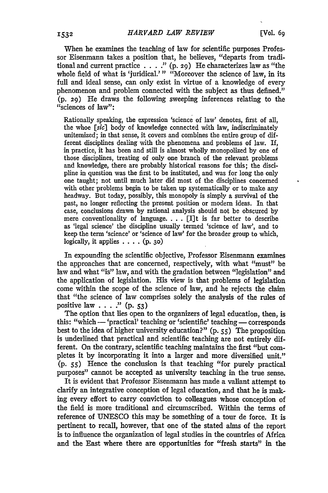When he examines the teaching of law for scientific purposes Professor Eisenmann takes a position that, he believes, "departs from traditional and current practice . **. . ."** (p. 29) He characterizes law as "the whole field of what is 'juridical.'" "Moreover the science of law, in its full and ideal sense, can only exist in virtue of a knowledge of every phenomenon and problem connected with the subject as thus defined." (p. **29)** He draws the following sweeping inferences relating to the "sciences of law":

Rationally speaking, the expression 'science of law' denotes, first of all, the whoe [sic] body of knowledge connected with law, indiscriminately unitemized; in that sense, it covers and combines the entire group of different disciplines dealing with the phenomena and problems of law. If, in practice, it has been and still is almost wholly monopolized **by** one of those disciplines, treating of only one branch of the relevant problems and knowledge, there are probably historical reasons for this; the discipline in question was the first to be instituted, and was for long the only one taught; not until much later did most of the disciplines concerned with other problems begin to be taken up systematically or to make any headway. But today, possibly, this monopoly is simply a survival of the past, no longer reflecting the present position or modem ideas. In that case, conclusions drawn by rational analysis should not be obscured by mere conventionality of language. . **.** . [I]t is far better to describe as 'legal science' the discipline usually termed 'science of law', and to keep the term 'science' or 'science of law' for the broader group to which, logically, it applies . **. .** . (p. **30)**

In expounding the scientific objective, Professor Eisenmann examines the approaches that are concerned, respectively, with what "must" be law and what "is" law, and with the gradation between "legislation" and the application of legislation. His view is that problems of legislation come within the scope of the science of law, and he rejects the claim that "the science of law comprises solely the analysis of the rules of positive law **. .** . **." (P. 53)**

The option that lies open to the organizers of legal education, then, is this: "which - 'practical' teaching or 'scientific' teaching - corresponds best to the idea of higher university education?" **(p. 55)** The proposition is underlined that practical and scientific teaching are not entirely different. On the contrary, scientific teaching maintains the first "but completes it **by** incorporating it into a larger and more diversified unit." (P. **55)** Hence the conclusion is that teaching "for purely practical purposes" cannot be accepted as university teaching in the true sense.

It is evident that Professor Eisenmann has made a valiant attempt to clarify an integrative conception of legal education, and that he is making every effort to carry conviction to colleagues whose conception of the field is more traditional and circumscribed. Within the terms of reference of **UNESCO** this may be something of a tour de force. It is pertinent to recall, however, that one of the stated alms of the report is to influence the organization of legal studies in the countries of Africa and the East where there are opportunities for "fresh starts" in the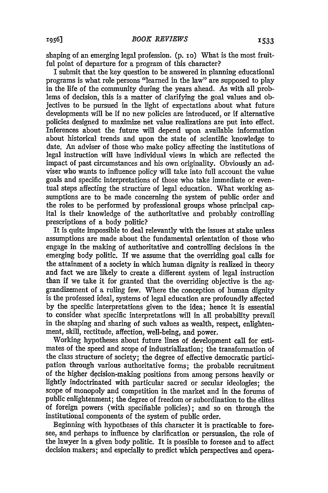shaping of an emerging legal profession. (p. io) What is the most fruitful point of departure for a program of this character?

I submit that the key question to be answered in planning educational programs is what role persons "learned in the law" are supposed to play in the life of the community during the years ahead. As with all problems of decision, this is a matter of clarifying the goal values and objectives to be pursued in the light of expectations about what future developments will be if no new policies are introduced, or if alternative policies designed to maximize net value realizations are put into effect. Inferences about the future will depend upon available information about historical trends and upon the state of scientific knowledge to date. An adviser of those who make policy affecting the institutions of legal instruction will have individual views in which are reflected the impact of past circumstances and his own originality. Obviously an adviser who wants to influence policy will take into full account the value goals and specific interpretations of those who take immediate or eventual steps affecting the structure of legal education. What working assumptions are to be made concerning the system of public order and the roles to be performed by professional groups whose principal capital is their knowledge of the authoritative and probably controlling prescriptions of a body politic?

It is quite impossible to deal relevantly with the issues at stake unless assumptions are made about the fundamental orientation of those who engage in the making of authoritative and controlling decisions in the emerging body politic. If we assume that the overriding goal calls for the attainment of a society in which human dignity is realized in theory and fact we are likely to create a different system of legal instruction than if we take it for granted that the overriding objective is the aggrandizement of a ruling few. Where the conception of human dignity is the professed ideal, systems of legal education are profoundly affected by the specific interpretations given to the idea; hence it is essential to consider what specific interpretations will in all probability prevail in the shaping and sharing of such values as wealth, respect, enlightenment, skill, rectitude, affection, well-being, and power.

Working hypotheses about future lines of development call for estimates of the speed and scope of industrialization; the transformation of the class structure of society; the degree of effective democratic participation through various authoritative forms; the probable recruitment of the higher decision-making positions from among persons heavily or lightly indoctrinated with particular sacred or secular ideologies; the scope of monopoly and competition in the market and in the forums of public enlightenment; the degree of freedom or subordination to the elites of foreign powers (with specifiable policies); and so on through the institutional components of the system of public order.

Beginning with hypotheses of this character it is practicable to foresee, and perhaps to influence by clarification or persuasion, the role of the lawyer in a given body politic. It is possible to foresee and to affect decision makers; and especially to predict which perspectives and opera-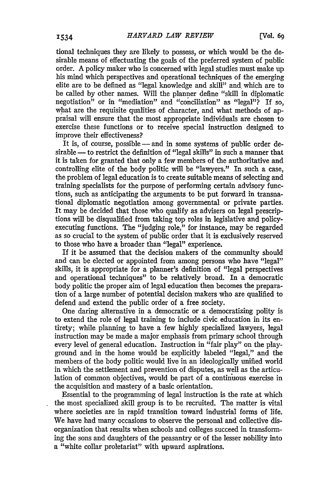tional techniques they are likely to possess, or which would be the desirable means of effectuating the goals of the preferred system of public order. A policy maker who is concerned with legal studies must make up his mind which perspectives and operational techniques of the emerging elite are to be defined as "legal knowledge and skill" and, which are to be called by other names. Will the planner define "skill in diplomatic negotiation" or in "mediation" and "conciliation" as "legal"? If so, what are the requisite qualities of character, and what methods of appraisal will ensure that the most appropriate individuals are chosen to exercise these functions or to receive special instruction designed to improve their effectiveness?

It is, of course, possible  $-$  and in some systems of public order desirable — to restrict the definition of "legal skills" in such a manner that it is taken for granted that only a few members of the authoritative and controlling elite of the body politic will be "lawyers." In such a case, the problem of legal education is to create suitable means of selecting and training specialists for the purpose of performing certain advisory functions, such as anticipating the arguments to be put forward in transnational diplomatic negotiation among governmental or private parties. It may be decided that those who qualify as advisers on legal prescriptions will be disqualified from taking top roles in legislative and policyexecuting functions. The "judging role," for instance, may be regarded as so crucial to the system of public order that it is exclusively reserved to those who have a broader than "legal" experience.

If it be assumed that the decision makers of the community should and can be elected or appointed from among persons who have "legal" skills, it is appropriate for a planner's definition of "legal perspectives and operational techniques" to be relatively broad. In a democratic body politic the proper aim of legal education then becomes the preparation of a large number of potential decision makers who are qualified to defend and extend the public order of a free society.

One daring alternative in a democratic or a democratizing polity is to extend the role of legal training to include civic education in its entirety; while planning to have a few highly specialized lawyers, legal instruction may be made a major emphasis from primary school through every level of general education. Instruction in "fair play" on the playground and in the home would be explicitly labeled "legal," and the members of the body politic would live in an ideologically unified world in which the settlement and prevention of disputes, as well as the articulation of common objectives, would be part of a continuous exercise in the acquisition and mastery of a basic orientation.

Essential to the programming of legal instruction is the rate at which the most specialized skill group is to be recruited. The matter is vital where societies are in rapid transition toward industrial forms of life. We have had many occasions to observe the personal and collective disorganization that results when schools and colleges succeed in transforming the sons and daughters of the peasantry or of the lesser nobility into a "white collar proletariat" with upward aspirations.

i,